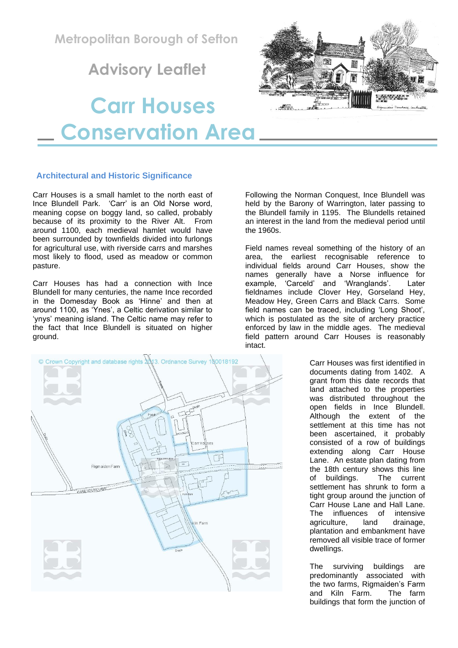**Metropolitan Borough of Sefton**

 **Advisory Leaflet**

# **Carr Houses Conservation Area**

# **Architectural and Historic Significance**

Carr Houses is a small hamlet to the north east of Ince Blundell Park. 'Carr' is an Old Norse word, meaning copse on boggy land, so called, probably because of its proximity to the River Alt. From around 1100, each medieval hamlet would have been surrounded by townfields divided into furlongs for agricultural use, with riverside carrs and marshes most likely to flood, used as meadow or common pasture.

Carr Houses has had a connection with Ince Blundell for many centuries, the name Ince recorded in the Domesday Book as 'Hinne' and then at around 1100, as 'Ynes', a Celtic derivation similar to 'ynys' meaning island. The Celtic name may refer to the fact that Ince Blundell is situated on higher ground.



Following the Norman Conquest, Ince Blundell was held by the Barony of Warrington, later passing to the Blundell family in 1195. The Blundells retained an interest in the land from the medieval period until the 1960s.

Field names reveal something of the history of an area, the earliest recognisable reference to individual fields around Carr Houses, show the names generally have a Norse influence for example, 'Carceld' and 'Wranglands'. Later fieldnames include Clover Hey, Gorseland Hey, Meadow Hey, Green Carrs and Black Carrs. Some field names can be traced, including 'Long Shoot', which is postulated as the site of archery practice enforced by law in the middle ages. The medieval field pattern around Carr Houses is reasonably intact.

> Carr Houses was first identified in documents dating from 1402. A grant from this date records that land attached to the properties was distributed throughout the open fields in Ince Blundell. Although the extent of the settlement at this time has not been ascertained, it probably consisted of a row of buildings extending along Carr House Lane. An estate plan dating from the 18th century shows this line of buildings. The current settlement has shrunk to form a tight group around the junction of Carr House Lane and Hall Lane. The influences of intensive agriculture, land drainage, plantation and embankment have removed all visible trace of former dwellings.

The surviving buildings are predominantly associated with the two farms, Rigmaiden's Farm and Kiln Farm. The farm buildings that form the junction of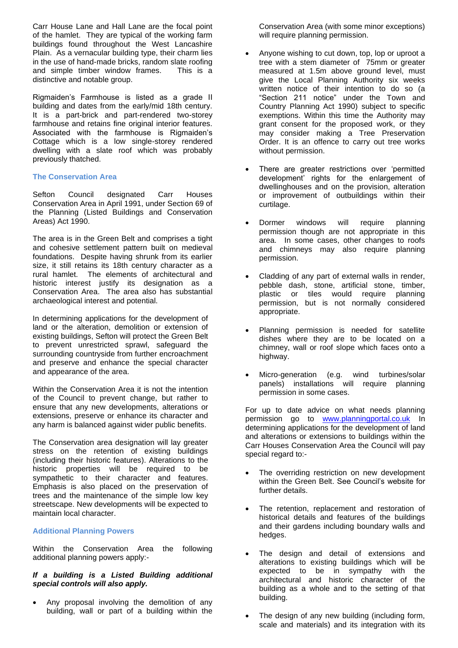Carr House Lane and Hall Lane are the focal point of the hamlet. They are typical of the working farm buildings found throughout the West Lancashire Plain. As a vernacular building type, their charm lies in the use of hand-made bricks, random slate roofing and simple timber window frames. This is a distinctive and notable group.

Rigmaiden's Farmhouse is listed as a grade II building and dates from the early/mid 18th century. It is a part-brick and part-rendered two-storey farmhouse and retains fine original interior features. Associated with the farmhouse is Rigmaiden's Cottage which is a low single-storey rendered dwelling with a slate roof which was probably previously thatched.

# **The Conservation Area**

Sefton Council designated Carr Houses Conservation Area in April 1991, under Section 69 of the Planning (Listed Buildings and Conservation Areas) Act 1990.

The area is in the Green Belt and comprises a tight and cohesive settlement pattern built on medieval foundations. Despite having shrunk from its earlier size, it still retains its 18th century character as a rural hamlet. The elements of architectural and historic interest justify its designation as a Conservation Area. The area also has substantial archaeological interest and potential.

In determining applications for the development of land or the alteration, demolition or extension of existing buildings, Sefton will protect the Green Belt to prevent unrestricted sprawl, safeguard the surrounding countryside from further encroachment and preserve and enhance the special character and appearance of the area.

Within the Conservation Area it is not the intention of the Council to prevent change, but rather to ensure that any new developments, alterations or extensions, preserve or enhance its character and any harm is balanced against wider public benefits.

The Conservation area designation will lay greater stress on the retention of existing buildings (including their historic features). Alterations to the historic properties will be required to be sympathetic to their character and features. Emphasis is also placed on the preservation of trees and the maintenance of the simple low key streetscape. New developments will be expected to maintain local character.

# **Additional Planning Powers**

Within the Conservation Area the following additional planning powers apply:-

# *If a building is a Listed Building additional special controls will also apply.*

• Any proposal involving the demolition of any building, wall or part of a building within the

Conservation Area (with some minor exceptions) will require planning permission.

- Anyone wishing to cut down, top, lop or uproot a tree with a stem diameter of 75mm or greater measured at 1.5m above ground level, must give the Local Planning Authority six weeks written notice of their intention to do so (a "Section 211 notice" under the Town and Country Planning Act 1990) subject to specific exemptions. Within this time the Authority may grant consent for the proposed work, or they may consider making a Tree Preservation Order. It is an offence to carry out tree works without permission.
- There are greater restrictions over 'permitted development' rights for the enlargement of dwellinghouses and on the provision, alteration or improvement of outbuildings within their curtilage.
- Dormer windows will require planning permission though are not appropriate in this area. In some cases, other changes to roofs and chimneys may also require planning permission.
- Cladding of any part of external walls in render, pebble dash, stone, artificial stone, timber, plastic or tiles would require planning permission, but is not normally considered appropriate.
- Planning permission is needed for satellite dishes where they are to be located on a chimney, wall or roof slope which faces onto a highway.
- Micro-generation (e.g. wind turbines/solar panels) installations will require planning permission in some cases.

For up to date advice on what needs planning permission go to [www.planningportal.co.uk](http://www.planningportal.co.uk/) In determining applications for the development of land and alterations or extensions to buildings within the Carr Houses Conservation Area the Council will pay special regard to:-

- The overriding restriction on new development within the Green Belt. See Council's website for further details.
- The retention, replacement and restoration of historical details and features of the buildings and their gardens including boundary walls and hedges.
- The design and detail of extensions and alterations to existing buildings which will be expected to be in sympathy with the architectural and historic character of the building as a whole and to the setting of that building.
- The design of any new building (including form, scale and materials) and its integration with its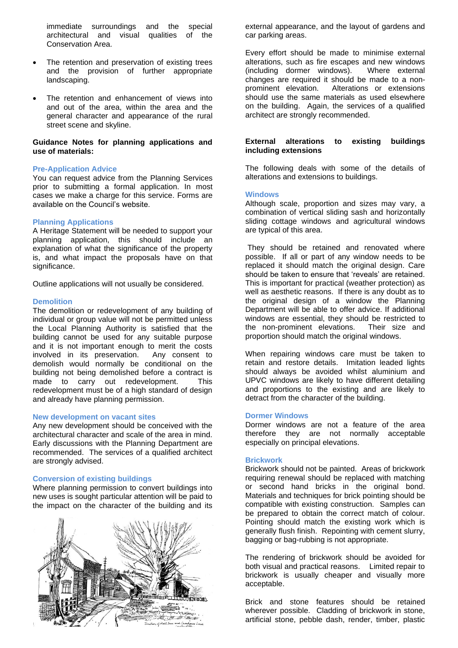immediate surroundings and the special architectural and visual qualities of the Conservation Area.

- The retention and preservation of existing trees and the provision of further appropriate landscaping.
- The retention and enhancement of views into and out of the area, within the area and the general character and appearance of the rural street scene and skyline.

# **Guidance Notes for planning applications and use of materials:**

# **Pre-Application Advice**

You can request advice from the Planning Services prior to submitting a formal application. In most cases we make a charge for this service. Forms are available on the Council's website.

# **Planning Applications**

A Heritage Statement will be needed to support your planning application, this should include an explanation of what the significance of the property is, and what impact the proposals have on that significance.

Outline applications will not usually be considered.

# **Demolition**

The demolition or redevelopment of any building of individual or group value will not be permitted unless the Local Planning Authority is satisfied that the building cannot be used for any suitable purpose and it is not important enough to merit the costs involved in its preservation. Any consent to demolish would normally be conditional on the building not being demolished before a contract is made to carry out redevelopment. This redevelopment must be of a high standard of design and already have planning permission.

# **New development on vacant sites**

Any new development should be conceived with the architectural character and scale of the area in mind. Early discussions with the Planning Department are recommended. The services of a qualified architect are strongly advised.

# **Conversion of existing buildings**

Where planning permission to convert buildings into new uses is sought particular attention will be paid to the impact on the character of the building and its



external appearance, and the layout of gardens and car parking areas.

Every effort should be made to minimise external alterations, such as fire escapes and new windows (including dormer windows). Where external changes are required it should be made to a nonprominent elevation. Alterations or extensions should use the same materials as used elsewhere on the building. Again, the services of a qualified architect are strongly recommended.

# **External alterations to existing buildings including extensions**

The following deals with some of the details of alterations and extensions to buildings.

# **Windows**

Although scale, proportion and sizes may vary, a combination of vertical sliding sash and horizontally sliding cottage windows and agricultural windows are typical of this area.

They should be retained and renovated where possible. If all or part of any window needs to be replaced it should match the original design. Care should be taken to ensure that 'reveals' are retained. This is important for practical (weather protection) as well as aesthetic reasons. If there is any doubt as to the original design of a window the Planning Department will be able to offer advice. If additional windows are essential, they should be restricted to the non-prominent elevations. Their size and proportion should match the original windows.

When repairing windows care must be taken to retain and restore details. Imitation leaded lights should always be avoided whilst aluminium and UPVC windows are likely to have different detailing and proportions to the existing and are likely to detract from the character of the building.

# **Dormer Windows**

Dormer windows are not a feature of the area therefore they are not normally acceptable especially on principal elevations.

# **Brickwork**

Brickwork should not be painted. Areas of brickwork requiring renewal should be replaced with matching or second hand bricks in the original bond. Materials and techniques for brick pointing should be compatible with existing construction. Samples can be prepared to obtain the correct match of colour. Pointing should match the existing work which is generally flush finish. Repointing with cement slurry, bagging or bag-rubbing is not appropriate.

The rendering of brickwork should be avoided for both visual and practical reasons. Limited repair to brickwork is usually cheaper and visually more acceptable.

Brick and stone features should be retained wherever possible. Cladding of brickwork in stone, artificial stone, pebble dash, render, timber, plastic